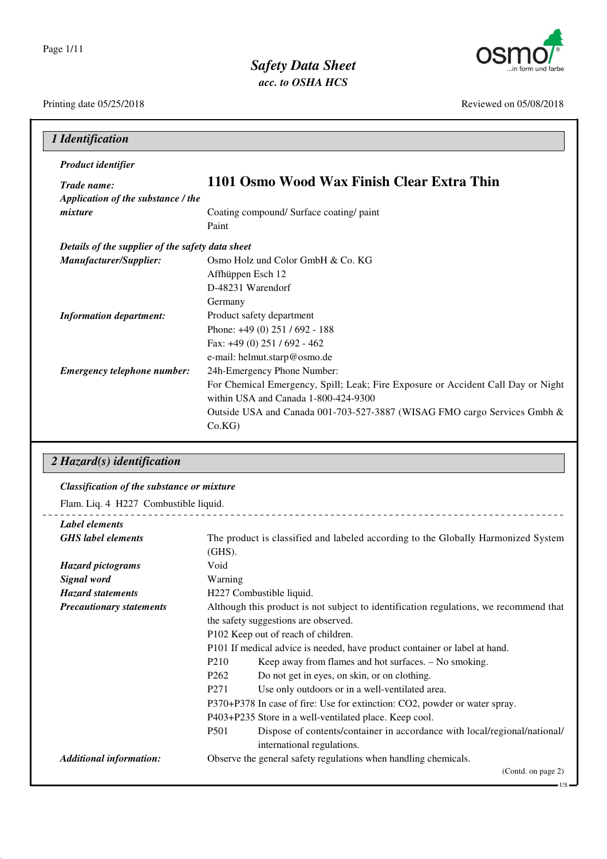

*Safety Data Sheet acc. to OSHA HCS*

Printing date 05/25/2018 Reviewed on 05/08/2018

| Product identifier                               |                                                                                  |
|--------------------------------------------------|----------------------------------------------------------------------------------|
| Trade name:                                      | 1101 Osmo Wood Wax Finish Clear Extra Thin                                       |
| Application of the substance / the               |                                                                                  |
| mixture                                          | Coating compound/ Surface coating/ paint                                         |
|                                                  | Paint                                                                            |
| Details of the supplier of the safety data sheet |                                                                                  |
| Manufacturer/Supplier:                           | Osmo Holz und Color GmbH & Co. KG                                                |
|                                                  | Affhüppen Esch 12                                                                |
|                                                  | D-48231 Warendorf                                                                |
|                                                  | Germany                                                                          |
| <b>Information department:</b>                   | Product safety department                                                        |
|                                                  | Phone: $+49(0)$ 251 / 692 - 188                                                  |
|                                                  | Fax: +49 (0) 251 / 692 - 462                                                     |
|                                                  | e-mail: helmut.starp@osmo.de                                                     |
| <b>Emergency telephone number:</b>               | 24h-Emergency Phone Number:                                                      |
|                                                  | For Chemical Emergency, Spill; Leak; Fire Exposure or Accident Call Day or Night |
|                                                  | within USA and Canada 1-800-424-9300                                             |
|                                                  | Outside USA and Canada 001-703-527-3887 (WISAG FMO cargo Services Gmbh &         |
|                                                  | Co.KG                                                                            |

### *2 Hazard(s) identification*

### *Classification of the substance or mixture*

Flam. Liq. 4 H227 Combustible liquid.

| The product is classified and labeled according to the Globally Harmonized System        |  |
|------------------------------------------------------------------------------------------|--|
| $(GHS)$ .                                                                                |  |
| Void                                                                                     |  |
| Warning                                                                                  |  |
| H227 Combustible liquid.                                                                 |  |
| Although this product is not subject to identification regulations, we recommend that    |  |
| the safety suggestions are observed.                                                     |  |
| P102 Keep out of reach of children.                                                      |  |
| P101 If medical advice is needed, have product container or label at hand.               |  |
| P <sub>210</sub><br>Keep away from flames and hot surfaces. - No smoking.                |  |
| P <sub>262</sub><br>Do not get in eyes, on skin, or on clothing.                         |  |
| P <sub>271</sub><br>Use only outdoors or in a well-ventilated area.                      |  |
| P370+P378 In case of fire: Use for extinction: CO2, powder or water spray.               |  |
| P403+P235 Store in a well-ventilated place. Keep cool.                                   |  |
| <b>P501</b><br>Dispose of contents/container in accordance with local/regional/national/ |  |
| international regulations.                                                               |  |
| Observe the general safety regulations when handling chemicals.                          |  |
| (Contd. on page 2)                                                                       |  |
|                                                                                          |  |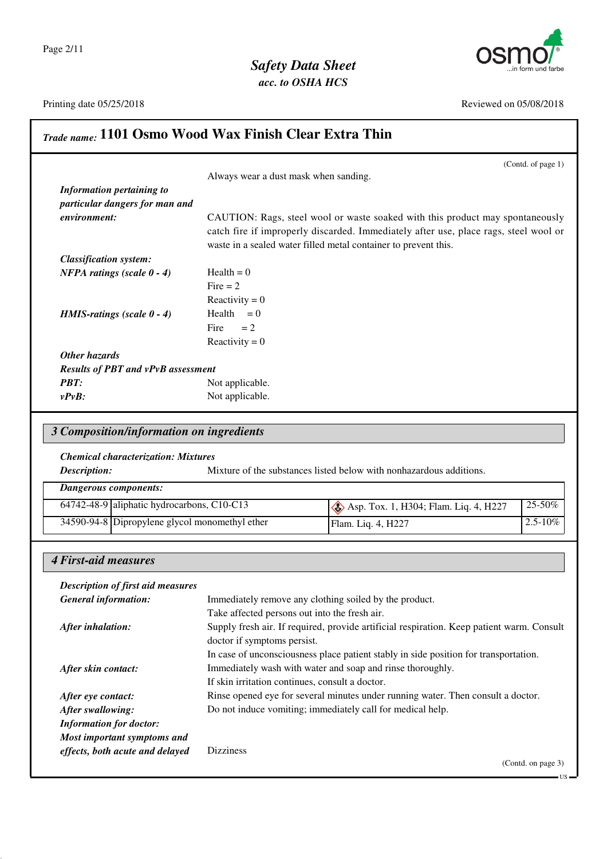



Printing date 05/25/2018 Reviewed on 05/08/2018

 $-US$ 

# *Trade name:* **1101 Osmo Wood Wax Finish Clear Extra Thin**

|                                                             | (Contd. of page $1$ )                                                                |
|-------------------------------------------------------------|--------------------------------------------------------------------------------------|
|                                                             | Always wear a dust mask when sanding.                                                |
| Information pertaining to<br>particular dangers for man and |                                                                                      |
| environment:                                                | CAUTION: Rags, steel wool or waste soaked with this product may spontaneously        |
|                                                             | catch fire if improperly discarded. Immediately after use, place rags, steel wool or |
|                                                             | waste in a sealed water filled metal container to prevent this.                      |
| <b>Classification system:</b>                               |                                                                                      |
| <b>NFPA</b> ratings (scale $0 - 4$ )                        | $Health = 0$                                                                         |
|                                                             | Fire $= 2$                                                                           |
|                                                             | Reactivity = $0$                                                                     |
| <b>HMIS-ratings</b> (scale $0 - 4$ )                        | Health $= 0$                                                                         |
|                                                             | Fire<br>$= 2$                                                                        |
|                                                             | Reactivity = $0$                                                                     |
| Other hazards                                               |                                                                                      |
| <b>Results of PBT and vPvB assessment</b>                   |                                                                                      |
| <b>PBT:</b>                                                 | Not applicable.                                                                      |
| $vPvB$ :                                                    | Not applicable.                                                                      |

## *3 Composition/information on ingredients*

### *Chemical characterization: Mixtures*

**Description:** Mixture of the substances listed below with nonhazardous additions.

| Dangerous components: |                                                |                                       |               |
|-----------------------|------------------------------------------------|---------------------------------------|---------------|
|                       | 64742-48-9 aliphatic hydrocarbons, C10-C13     | Asp. Tox. 1, H304; Flam. Liq. 4, H227 | $25-50\%$     |
|                       | 34590-94-8 Dipropylene glycol monomethyl ether | Flam. Liq. 4, H227                    | $12.5 - 10\%$ |

### *4 First-aid measures*

| <b>Description of first aid measures</b> |                                                                                                                          |
|------------------------------------------|--------------------------------------------------------------------------------------------------------------------------|
| <b>General information:</b>              | Immediately remove any clothing soiled by the product.                                                                   |
|                                          | Take affected persons out into the fresh air.                                                                            |
| After inhalation:                        | Supply fresh air. If required, provide artificial respiration. Keep patient warm. Consult<br>doctor if symptoms persist. |
|                                          | In case of unconsciousness place patient stably in side position for transportation.                                     |
| After skin contact:                      | Immediately wash with water and soap and rinse thoroughly.                                                               |
|                                          | If skin irritation continues, consult a doctor.                                                                          |
| After eye contact:                       | Rinse opened eye for several minutes under running water. Then consult a doctor.                                         |
| After swallowing:                        | Do not induce vomiting; immediately call for medical help.                                                               |
| <b>Information for doctor:</b>           |                                                                                                                          |
| Most important symptoms and              |                                                                                                                          |
| effects, both acute and delayed          | <b>Dizziness</b>                                                                                                         |
|                                          | (Contd. on page 3)                                                                                                       |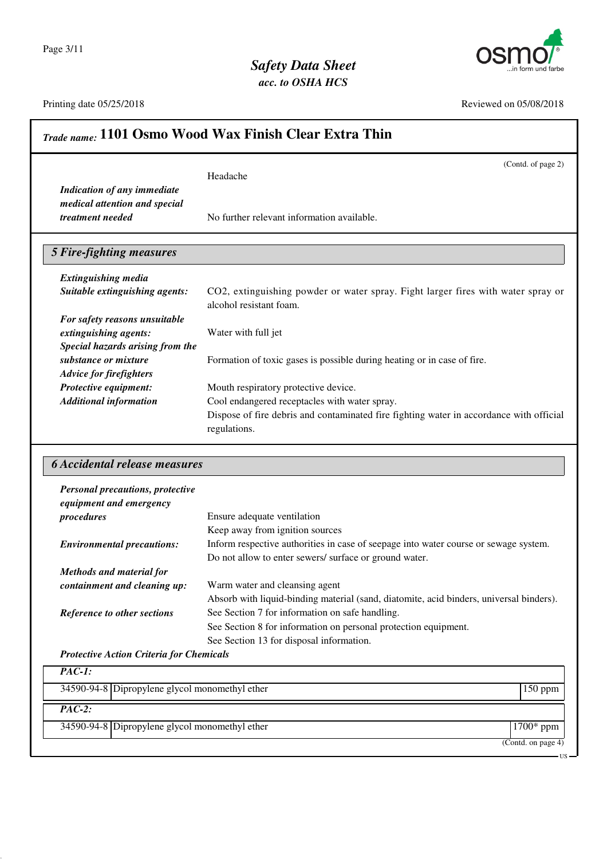Page 3/11



Printing date 05/25/2018 Reviewed on 05/08/2018

|                                                                                                            | (Contd. of page 2)<br>Headache                                                                                                                 |
|------------------------------------------------------------------------------------------------------------|------------------------------------------------------------------------------------------------------------------------------------------------|
| <b>Indication of any immediate</b>                                                                         |                                                                                                                                                |
| medical attention and special                                                                              |                                                                                                                                                |
| treatment needed                                                                                           | No further relevant information available.                                                                                                     |
|                                                                                                            |                                                                                                                                                |
| <b>5 Fire-fighting measures</b>                                                                            |                                                                                                                                                |
| <b>Extinguishing media</b>                                                                                 |                                                                                                                                                |
| Suitable extinguishing agents:                                                                             | CO2, extinguishing powder or water spray. Fight larger fires with water spray or                                                               |
|                                                                                                            | alcohol resistant foam.                                                                                                                        |
| For safety reasons unsuitable                                                                              |                                                                                                                                                |
| extinguishing agents:                                                                                      | Water with full jet                                                                                                                            |
| Special hazards arising from the                                                                           |                                                                                                                                                |
| substance or mixture                                                                                       | Formation of toxic gases is possible during heating or in case of fire.                                                                        |
| <b>Advice for firefighters</b>                                                                             |                                                                                                                                                |
| Protective equipment:                                                                                      | Mouth respiratory protective device.                                                                                                           |
| <b>Additional information</b>                                                                              | Cool endangered receptacles with water spray.                                                                                                  |
|                                                                                                            | Dispose of fire debris and contaminated fire fighting water in accordance with official                                                        |
|                                                                                                            |                                                                                                                                                |
|                                                                                                            | regulations.                                                                                                                                   |
|                                                                                                            |                                                                                                                                                |
|                                                                                                            |                                                                                                                                                |
|                                                                                                            |                                                                                                                                                |
| <b>6 Accidental release measures</b><br><b>Personal precautions, protective</b><br>equipment and emergency |                                                                                                                                                |
| procedures                                                                                                 | Ensure adequate ventilation                                                                                                                    |
|                                                                                                            | Keep away from ignition sources                                                                                                                |
| <b>Environmental precautions:</b>                                                                          |                                                                                                                                                |
|                                                                                                            | Inform respective authorities in case of seepage into water course or sewage system.<br>Do not allow to enter sewers/ surface or ground water. |
| <b>Methods and material for</b>                                                                            |                                                                                                                                                |
| containment and cleaning up:                                                                               | Warm water and cleansing agent                                                                                                                 |
|                                                                                                            |                                                                                                                                                |
| Reference to other sections                                                                                | Absorb with liquid-binding material (sand, diatomite, acid binders, universal binders).<br>See Section 7 for information on safe handling.     |
|                                                                                                            | See Section 8 for information on personal protection equipment.                                                                                |
|                                                                                                            | See Section 13 for disposal information.                                                                                                       |
| <b>Protective Action Criteria for Chemicals</b>                                                            |                                                                                                                                                |
| $PAC-1$ :<br>34590-94-8 Dipropylene glycol monomethyl ether                                                | 150 ppm                                                                                                                                        |

(Contd. on page 4)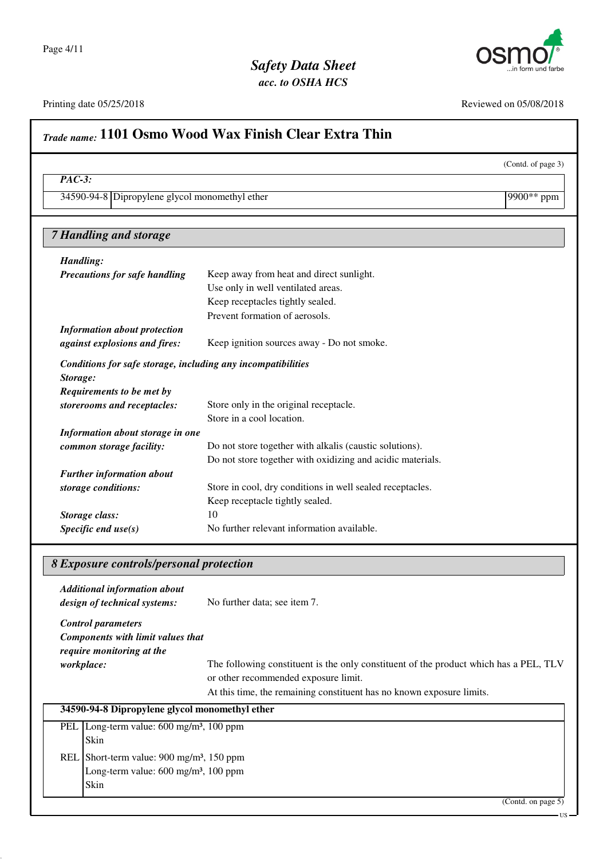



(Contd. of page 3)

# *acc. to OSHA HCS* Printing date 05/25/2018 Reviewed on 05/08/2018 *Trade name:* **1101 Osmo Wood Wax Finish Clear Extra Thin** *PAC-3:* 34590-94-8 Dipropylene glycol monomethyl ether 9900<sup>\*\*</sup> ppm *7 Handling and storage Handling: Precautions for safe handling* Keep away from heat and direct sunlight. Use only in well ventilated areas. Keep receptacles tightly sealed. Prevent formation of aerosols. *Information about protection against explosions and fires:* Keep ignition sources away - Do not smoke. *Conditions for safe storage, including any incompatibilities Storage: Requirements to be met by storerooms and receptacles:* Store only in the original receptacle. Store in a cool location. *Information about storage in one common storage facility:* Do not store together with alkalis (caustic solutions). Do not store together with oxidizing and acidic materials. *Further information about storage conditions:* Store in cool, dry conditions in well sealed receptacles. Keep receptacle tightly sealed. **Storage class:** 10 *Specific end use(s)* No further relevant information available.

### *8 Exposure controls/personal protection*

|            | <b>Additional information about</b><br>design of technical systems:                                                       | No further data; see item 7.                                                                                                                                                                           |
|------------|---------------------------------------------------------------------------------------------------------------------------|--------------------------------------------------------------------------------------------------------------------------------------------------------------------------------------------------------|
|            | <b>Control parameters</b><br>Components with limit values that<br>require monitoring at the                               |                                                                                                                                                                                                        |
|            | <i>workplace:</i>                                                                                                         | The following constituent is the only constituent of the product which has a PEL, TLV<br>or other recommended exposure limit.<br>At this time, the remaining constituent has no known exposure limits. |
|            | 34590-94-8 Dipropylene glycol monomethyl ether                                                                            |                                                                                                                                                                                                        |
| <b>PEL</b> | Long-term value: $600 \text{ mg/m}^3$ , $100 \text{ ppm}$<br>Skin                                                         |                                                                                                                                                                                                        |
|            | REL Short-term value: $900 \text{ mg/m}^3$ , 150 ppm<br>Long-term value: $600 \text{ mg/m}^3$ , $100 \text{ ppm}$<br>Skin |                                                                                                                                                                                                        |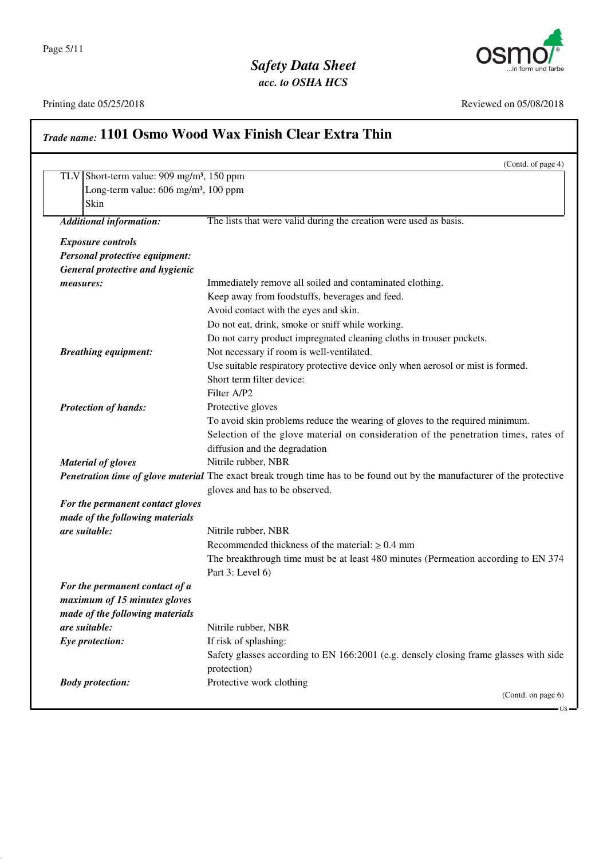



US

### Printing date 05/25/2018 Reviewed on 05/08/2018

|                                  | (Contd. of page 4)                                                                                                       |
|----------------------------------|--------------------------------------------------------------------------------------------------------------------------|
|                                  | TLV Short-term value: $909 \text{ mg/m}^3$ , 150 ppm                                                                     |
|                                  | Long-term value: 606 mg/m <sup>3</sup> , 100 ppm                                                                         |
| Skin                             |                                                                                                                          |
| <b>Additional information:</b>   | The lists that were valid during the creation were used as basis.                                                        |
| <b>Exposure controls</b>         |                                                                                                                          |
| Personal protective equipment:   |                                                                                                                          |
| General protective and hygienic  |                                                                                                                          |
| measures:                        | Immediately remove all soiled and contaminated clothing.                                                                 |
|                                  | Keep away from foodstuffs, beverages and feed.                                                                           |
|                                  | Avoid contact with the eyes and skin.                                                                                    |
|                                  | Do not eat, drink, smoke or sniff while working.                                                                         |
|                                  | Do not carry product impregnated cleaning cloths in trouser pockets.                                                     |
| <b>Breathing equipment:</b>      | Not necessary if room is well-ventilated.                                                                                |
|                                  | Use suitable respiratory protective device only when aerosol or mist is formed.                                          |
|                                  | Short term filter device:                                                                                                |
|                                  | Filter A/P2                                                                                                              |
| <b>Protection of hands:</b>      | Protective gloves                                                                                                        |
|                                  | To avoid skin problems reduce the wearing of gloves to the required minimum.                                             |
|                                  | Selection of the glove material on consideration of the penetration times, rates of                                      |
|                                  | diffusion and the degradation                                                                                            |
| <b>Material of gloves</b>        | Nitrile rubber, NBR                                                                                                      |
|                                  | Penetration time of glove material The exact break trough time has to be found out by the manufacturer of the protective |
|                                  | gloves and has to be observed.                                                                                           |
| For the permanent contact gloves |                                                                                                                          |
| made of the following materials  |                                                                                                                          |
| are suitable:                    | Nitrile rubber, NBR                                                                                                      |
|                                  | Recommended thickness of the material: $\geq 0.4$ mm                                                                     |
|                                  | The breakthrough time must be at least 480 minutes (Permeation according to EN 374                                       |
|                                  | Part 3: Level 6)                                                                                                         |
| For the permanent contact of a   |                                                                                                                          |
| maximum of 15 minutes gloves     |                                                                                                                          |
| made of the following materials  |                                                                                                                          |
| are suitable:                    | Nitrile rubber, NBR                                                                                                      |
| Eye protection:                  | If risk of splashing:                                                                                                    |
|                                  | Safety glasses according to EN 166:2001 (e.g. densely closing frame glasses with side                                    |
|                                  | protection)                                                                                                              |
|                                  |                                                                                                                          |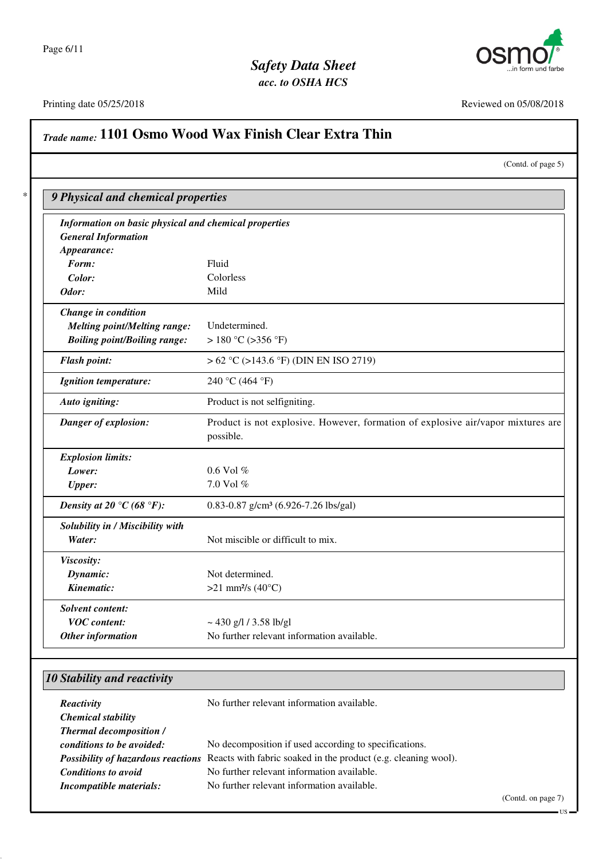



### Printing date 05/25/2018 Reviewed on 05/08/2018

# *Trade name:* **1101 Osmo Wood Wax Finish Clear Extra Thin**

| (Contd. of page 5) |  |
|--------------------|--|
|                    |  |

| Fluid                                                                            |
|----------------------------------------------------------------------------------|
| Colorless                                                                        |
| Mild                                                                             |
|                                                                                  |
| Undetermined.                                                                    |
| > 180 °C (>356 °F)                                                               |
| $> 62 °C$ ( $> 143.6 °F$ ) (DIN EN ISO 2719)                                     |
| 240 °C (464 °F)                                                                  |
| Product is not selfigniting.                                                     |
| Product is not explosive. However, formation of explosive air/vapor mixtures are |
| possible.                                                                        |
|                                                                                  |
| 0.6 Vol %                                                                        |
| 7.0 Vol %                                                                        |
| 0.83-0.87 g/cm <sup>3</sup> (6.926-7.26 lbs/gal)                                 |
|                                                                                  |
| Not miscible or difficult to mix.                                                |
|                                                                                  |
| Not determined.                                                                  |
| >21 mm <sup>2</sup> /s (40 $^{\circ}$ C)                                         |
|                                                                                  |
| $\sim$ 430 g/l / 3.58 lb/gl                                                      |
| No further relevant information available.                                       |
|                                                                                  |
|                                                                                  |
| No further relevant information available.                                       |
|                                                                                  |

| <b>Thermal decomposition /</b> |                                                                                                          |
|--------------------------------|----------------------------------------------------------------------------------------------------------|
| conditions to be avoided:      | No decomposition if used according to specifications.                                                    |
|                                | <b>Possibility of hazardous reactions</b> Reacts with fabric soaked in the product (e.g. cleaning wool). |
| <b>Conditions to avoid</b>     | No further relevant information available.                                                               |
| Incompatible materials:        | No further relevant information available.                                                               |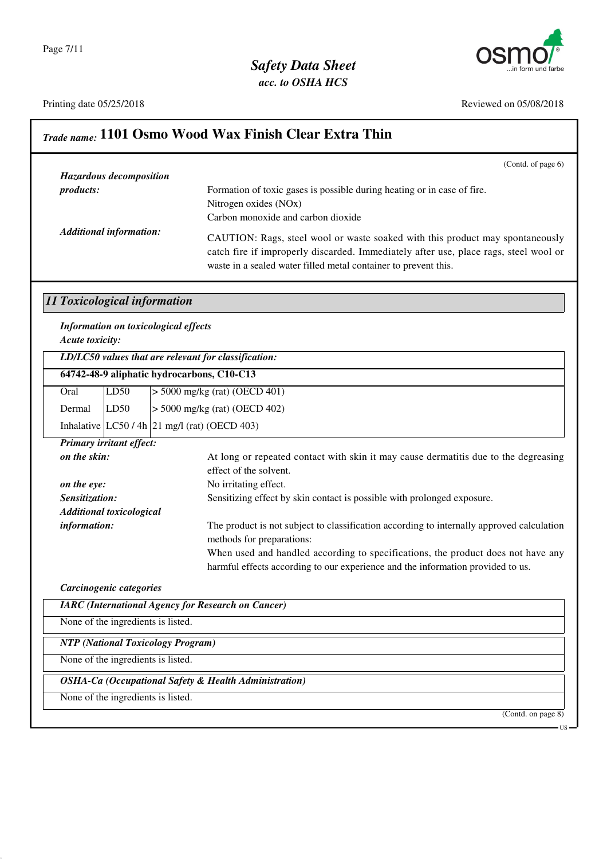## *Safety Data Sheet acc. to OSHA HCS*



Printing date 05/25/2018 Reviewed on 05/08/2018

US

# *Trade name:* **1101 Osmo Wood Wax Finish Clear Extra Thin**

|                              |                                    | (Contd. of page 6)                                                                                                                                                                                                                       |
|------------------------------|------------------------------------|------------------------------------------------------------------------------------------------------------------------------------------------------------------------------------------------------------------------------------------|
|                              | <b>Hazardous decomposition</b>     |                                                                                                                                                                                                                                          |
| products:                    |                                    | Formation of toxic gases is possible during heating or in case of fire.<br>Nitrogen oxides (NOx)<br>Carbon monoxide and carbon dioxide                                                                                                   |
|                              | <b>Additional information:</b>     | CAUTION: Rags, steel wool or waste soaked with this product may spontaneously<br>catch fire if improperly discarded. Immediately after use, place rags, steel wool or<br>waste in a sealed water filled metal container to prevent this. |
| 11 Toxicological information |                                    |                                                                                                                                                                                                                                          |
| Acute toxicity:              |                                    | <b>Information on toxicological effects</b>                                                                                                                                                                                              |
|                              |                                    | $LD/LC50$ values that are relevant for classification:                                                                                                                                                                                   |
|                              |                                    | 64742-48-9 aliphatic hydrocarbons, C10-C13                                                                                                                                                                                               |
| Oral                         | LD50                               | $>$ 5000 mg/kg (rat) (OECD 401)                                                                                                                                                                                                          |
| Dermal                       | LD50                               | $>$ 5000 mg/kg (rat) (OECD 402)                                                                                                                                                                                                          |
|                              |                                    | Inhalative $ LC50/4h 21$ mg/l (rat) (OECD 403)                                                                                                                                                                                           |
|                              | Primary irritant effect:           |                                                                                                                                                                                                                                          |
| on the skin:                 |                                    | At long or repeated contact with skin it may cause dermatitis due to the degreasing                                                                                                                                                      |
|                              |                                    | effect of the solvent.                                                                                                                                                                                                                   |
| on the eye:                  |                                    | No irritating effect.                                                                                                                                                                                                                    |
| Sensitization:               |                                    | Sensitizing effect by skin contact is possible with prolonged exposure.                                                                                                                                                                  |
|                              | <b>Additional toxicological</b>    |                                                                                                                                                                                                                                          |
| information:                 |                                    | The product is not subject to classification according to internally approved calculation<br>methods for preparations:                                                                                                                   |
|                              |                                    | When used and handled according to specifications, the product does not have any                                                                                                                                                         |
|                              |                                    | harmful effects according to our experience and the information provided to us.                                                                                                                                                          |
|                              | Carcinogenic categories            |                                                                                                                                                                                                                                          |
|                              |                                    | <b>IARC</b> (International Agency for Research on Cancer)                                                                                                                                                                                |
|                              | None of the ingredients is listed. |                                                                                                                                                                                                                                          |
|                              |                                    | <b>NTP</b> (National Toxicology Program)                                                                                                                                                                                                 |
|                              | None of the ingredients is listed. |                                                                                                                                                                                                                                          |
|                              |                                    | <b>OSHA-Ca (Occupational Safety &amp; Health Administration)</b>                                                                                                                                                                         |
|                              | None of the ingredients is listed. |                                                                                                                                                                                                                                          |
|                              |                                    | (Contd. on page 8)                                                                                                                                                                                                                       |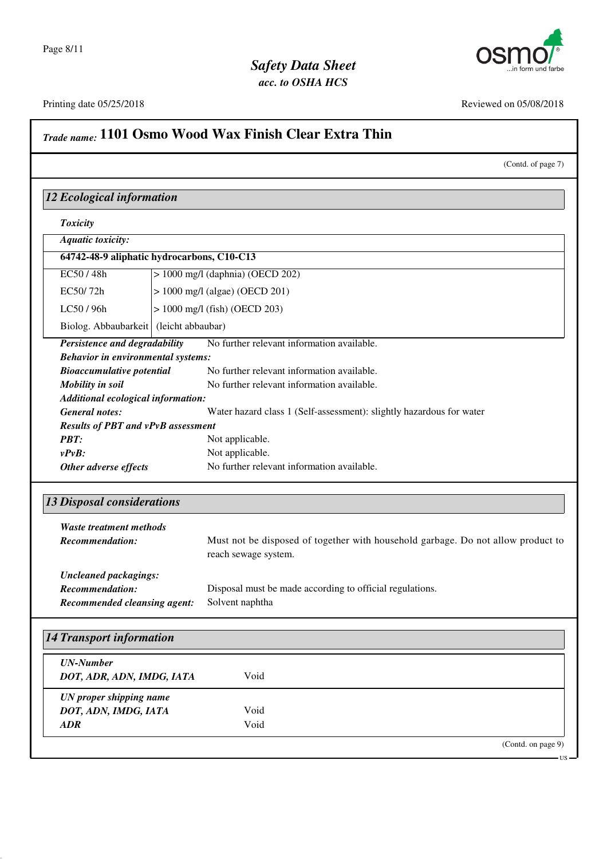



(Contd. of page 7)

# Printing date 05/25/2018 Reviewed on 05/08/2018 *Trade name:* **1101 Osmo Wood Wax Finish Clear Extra Thin** *12 Ecological information Toxicity Aquatic toxicity:* **64742-48-9 aliphatic hydrocarbons, C10-C13** EC50 / 48h > 1000 mg/l (daphnia) (OECD 202) EC50/ 72h  $\vert$  > 1000 mg/l (algae) (OECD 201)  $LC50 / 96h$   $> 1000$  mg/l (fish) (OECD 203) Biolog. Abbaubarkeit (leicht abbaubar) *Persistence and degradability* No further relevant information available. *Behavior in environmental systems: Bioaccumulative potential* No further relevant information available. *Mobility in soil* No further relevant information available. *Additional ecological information: General notes:* Water hazard class 1 (Self-assessment): slightly hazardous for water *Results of PBT and vPvB assessment PBT:* Not applicable. *vPvB:* Not applicable. **Other adverse effects** No further relevant information available. *13 Disposal considerations Waste treatment methods Recommendation:* Must not be disposed of together with household garbage. Do not allow product to reach sewage system. *Uncleaned packagings: Recommendation:* Disposal must be made according to official regulations. *Recommended cleansing agent:* Solvent naphtha *14 Transport information UN-Number DOT, ADR, ADN, IMDG, IATA* Void *UN proper shipping name DOT, ADN, IMDG, IATA* Void *ADR* Void

(Contd. on page 9)

US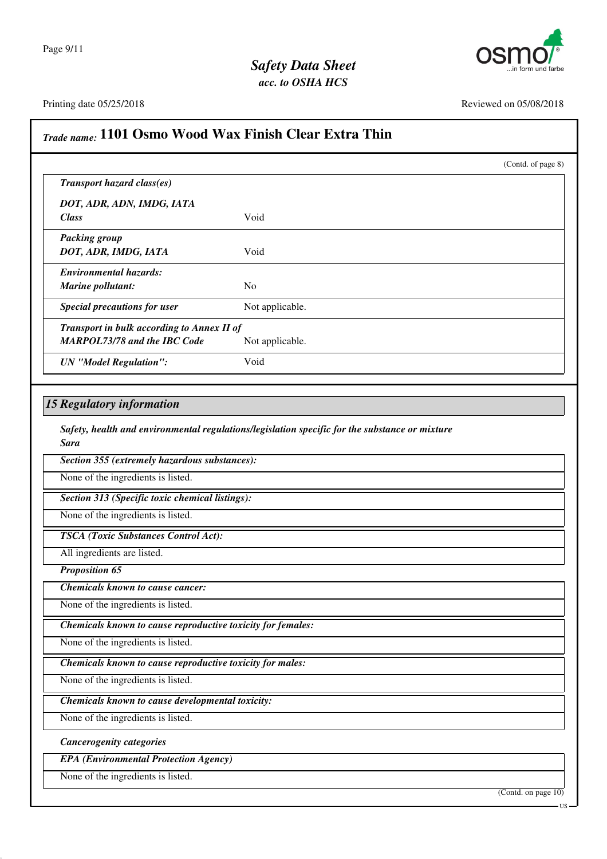

Printing date 05/25/2018 Reviewed on 05/08/2018

| Transport hazard class(es)<br>DOT, ADR, ADN, IMDG, IATA<br><b>Class</b><br><b>Packing group</b> |                                                                                                |  |
|-------------------------------------------------------------------------------------------------|------------------------------------------------------------------------------------------------|--|
|                                                                                                 |                                                                                                |  |
|                                                                                                 | Void                                                                                           |  |
| DOT, ADR, IMDG, IATA                                                                            | Void                                                                                           |  |
| <b>Environmental hazards:</b><br>Marine pollutant:                                              | No                                                                                             |  |
| <b>Special precautions for user</b>                                                             | Not applicable.                                                                                |  |
| Transport in bulk according to Annex II of<br><b>MARPOL73/78 and the IBC Code</b>               | Not applicable.                                                                                |  |
| <b>UN</b> "Model Regulation":                                                                   | Void                                                                                           |  |
| Section 355 (extremely hazardous substances):<br>None of the ingredients is listed.             |                                                                                                |  |
| <b>Sara</b>                                                                                     | Safety, health and environmental regulations/legislation specific for the substance or mixture |  |
|                                                                                                 |                                                                                                |  |
|                                                                                                 |                                                                                                |  |
| Section 313 (Specific toxic chemical listings):                                                 |                                                                                                |  |
| None of the ingredients is listed.                                                              |                                                                                                |  |
| <b>TSCA</b> (Toxic Substances Control Act):                                                     |                                                                                                |  |
| All ingredients are listed.                                                                     |                                                                                                |  |
| <b>Proposition 65</b>                                                                           |                                                                                                |  |
| <b>Chemicals known to cause cancer:</b>                                                         |                                                                                                |  |
| None of the ingredients is listed.                                                              |                                                                                                |  |
| Chemicals known to cause reproductive toxicity for females:                                     |                                                                                                |  |
| None of the ingredients is listed.                                                              |                                                                                                |  |
| Chemicals known to cause reproductive toxicity for males:                                       |                                                                                                |  |
| None of the ingredients is listed.                                                              |                                                                                                |  |
| Chemicals known to cause developmental toxicity:                                                |                                                                                                |  |
| None of the ingredients is listed.                                                              |                                                                                                |  |
| <b>Cancerogenity categories</b>                                                                 |                                                                                                |  |
| <b>EPA</b> (Environmental Protection Agency)                                                    |                                                                                                |  |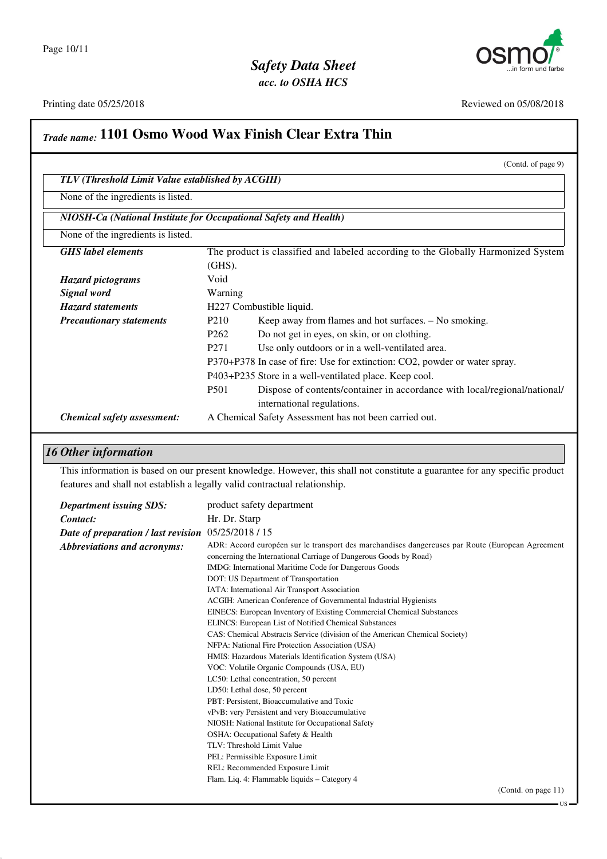

US

#### Printing date 05/25/2018 Reviewed on 05/08/2018

## *Trade name:* **1101 Osmo Wood Wax Finish Clear Extra Thin** (Contd. of page 9) *TLV (Threshold Limit Value established by ACGIH)* None of the ingredients is listed. *NIOSH-Ca (National Institute for Occupational Safety and Health)* None of the ingredients is listed. *GHS label elements* The product is classified and labeled according to the Globally Harmonized System (GHS). *Hazard pictograms* Void *Signal word* Warning *Hazard statements* H227 Combustible liquid. *Precautionary statements* P210 Keep away from flames and hot surfaces. – No smoking. P262 Do not get in eyes, on skin, or on clothing. P271 Use only outdoors or in a well-ventilated area. P370+P378 In case of fire: Use for extinction: CO2, powder or water spray. P403+P235 Store in a well-ventilated place. Keep cool. P501 Dispose of contents/container in accordance with local/regional/national/ international regulations. *Chemical safety assessment:* A Chemical Safety Assessment has not been carried out.

### *16 Other information*

This information is based on our present knowledge. However, this shall not constitute a guarantee for any specific product features and shall not establish a legally valid contractual relationship.

| <b>Department issuing SDS:</b>      | product safety department                                                                        |
|-------------------------------------|--------------------------------------------------------------------------------------------------|
| Contact:                            | Hr. Dr. Starp                                                                                    |
| Date of preparation / last revision | 05/25/2018 / 15                                                                                  |
| Abbreviations and acronyms:         | ADR: Accord européen sur le transport des marchandises dangereuses par Route (European Agreement |
|                                     | concerning the International Carriage of Dangerous Goods by Road)                                |
|                                     | IMDG: International Maritime Code for Dangerous Goods                                            |
|                                     | DOT: US Department of Transportation                                                             |
|                                     | IATA: International Air Transport Association                                                    |
|                                     | ACGIH: American Conference of Governmental Industrial Hygienists                                 |
|                                     | EINECS: European Inventory of Existing Commercial Chemical Substances                            |
|                                     | ELINCS: European List of Notified Chemical Substances                                            |
|                                     | CAS: Chemical Abstracts Service (division of the American Chemical Society)                      |
|                                     | NFPA: National Fire Protection Association (USA)                                                 |
|                                     | HMIS: Hazardous Materials Identification System (USA)                                            |
|                                     | VOC: Volatile Organic Compounds (USA, EU)                                                        |
|                                     | LC50: Lethal concentration, 50 percent                                                           |
|                                     | LD50: Lethal dose, 50 percent                                                                    |
|                                     | PBT: Persistent, Bioaccumulative and Toxic                                                       |
|                                     | vPvB: very Persistent and very Bioaccumulative                                                   |
|                                     | NIOSH: National Institute for Occupational Safety                                                |
|                                     | OSHA: Occupational Safety & Health                                                               |
|                                     | TLV: Threshold Limit Value                                                                       |
|                                     | PEL: Permissible Exposure Limit                                                                  |
|                                     | REL: Recommended Exposure Limit                                                                  |
|                                     | Flam. Liq. 4: Flammable liquids - Category 4                                                     |
|                                     | (Contd. on page $11$ )                                                                           |